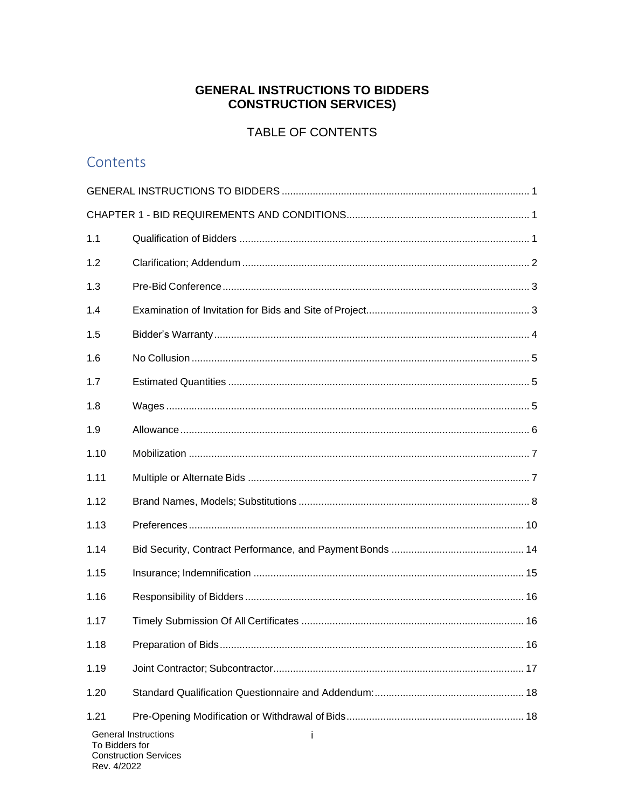# **GENERAL INSTRUCTIONS TO BIDDERS CONSTRUCTION SERVICES)**

# TABLE OF CONTENTS

# Contents

| 1.1                                                                                |  |  |  |
|------------------------------------------------------------------------------------|--|--|--|
| 1.2                                                                                |  |  |  |
| 1.3                                                                                |  |  |  |
| 1.4                                                                                |  |  |  |
| 1.5                                                                                |  |  |  |
| 1.6                                                                                |  |  |  |
| 1.7                                                                                |  |  |  |
| 1.8                                                                                |  |  |  |
| 1.9                                                                                |  |  |  |
| 1.10                                                                               |  |  |  |
| 1.11                                                                               |  |  |  |
| 1.12                                                                               |  |  |  |
| 1.13                                                                               |  |  |  |
| 1.14                                                                               |  |  |  |
| 1.15                                                                               |  |  |  |
| 1.16                                                                               |  |  |  |
| 1.17                                                                               |  |  |  |
| 1.18                                                                               |  |  |  |
| 1.19                                                                               |  |  |  |
| 1.20                                                                               |  |  |  |
| 1.21                                                                               |  |  |  |
| <b>General Instructions</b><br>Ť<br>To Bidders for<br><b>Construction Services</b> |  |  |  |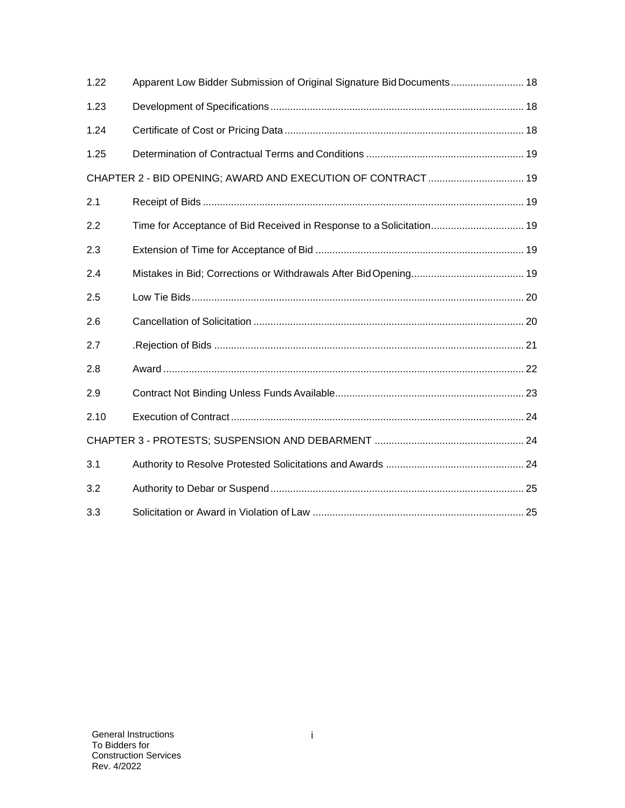| 1.22                                                         | Apparent Low Bidder Submission of Original Signature Bid Documents 18 |  |  |
|--------------------------------------------------------------|-----------------------------------------------------------------------|--|--|
| 1.23                                                         |                                                                       |  |  |
| 1.24                                                         |                                                                       |  |  |
| 1.25                                                         |                                                                       |  |  |
| CHAPTER 2 - BID OPENING; AWARD AND EXECUTION OF CONTRACT  19 |                                                                       |  |  |
| 2.1                                                          |                                                                       |  |  |
| 2.2                                                          | Time for Acceptance of Bid Received in Response to a Solicitation 19  |  |  |
| 2.3                                                          |                                                                       |  |  |
| 2.4                                                          |                                                                       |  |  |
| 2.5                                                          |                                                                       |  |  |
| 2.6                                                          |                                                                       |  |  |
| 2.7                                                          |                                                                       |  |  |
| 2.8                                                          |                                                                       |  |  |
| 2.9                                                          |                                                                       |  |  |
| 2.10                                                         |                                                                       |  |  |
|                                                              |                                                                       |  |  |
| 3.1                                                          |                                                                       |  |  |
| 3.2                                                          |                                                                       |  |  |
| 3.3                                                          |                                                                       |  |  |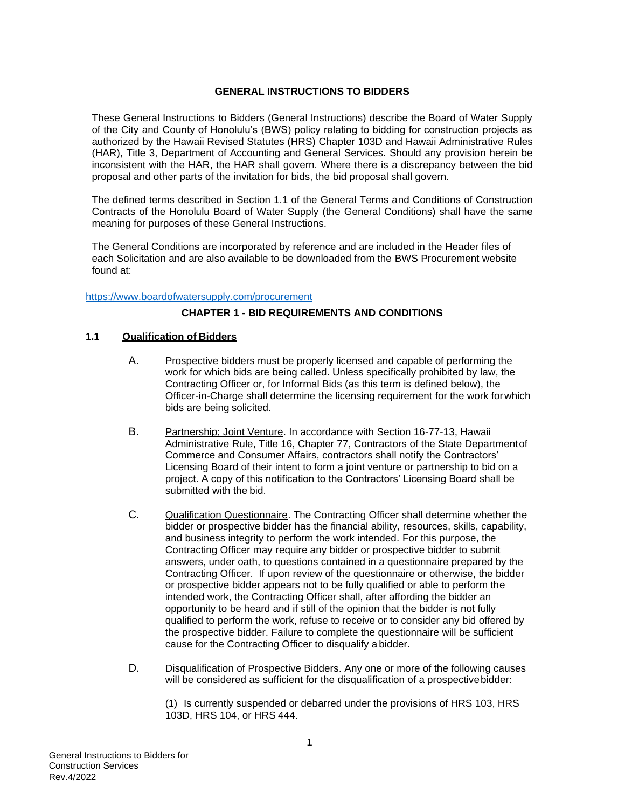#### **GENERAL INSTRUCTIONS TO BIDDERS**

<span id="page-2-0"></span>These General Instructions to Bidders (General Instructions) describe the Board of Water Supply of the City and County of Honolulu's (BWS) policy relating to bidding for construction projects as authorized by the Hawaii Revised Statutes (HRS) Chapter 103D and Hawaii Administrative Rules (HAR), Title 3, Department of Accounting and General Services. Should any provision herein be inconsistent with the HAR, the HAR shall govern. Where there is a discrepancy between the bid proposal and other parts of the invitation for bids, the bid proposal shall govern.

The defined terms described in Section 1.1 of the General Terms and Conditions of Construction Contracts of the Honolulu Board of Water Supply (the General Conditions) shall have the same meaning for purposes of these General Instructions.

The General Conditions are incorporated by reference and are included in the Header files of each Solicitation and are also available to be downloaded from the BWS Procurement website found at:

#### <span id="page-2-1"></span><https://www.boardofwatersupply.com/procurement>

#### **CHAPTER 1 - BID REQUIREMENTS AND CONDITIONS**

#### <span id="page-2-2"></span>**1.1 Qualification of Bidders**

- A. Prospective bidders must be properly licensed and capable of performing the work for which bids are being called. Unless specifically prohibited by law, the Contracting Officer or, for Informal Bids (as this term is defined below), the Officer-in-Charge shall determine the licensing requirement for the work forwhich bids are being solicited.
- B. Partnership; Joint Venture. In accordance with Section 16-77-13, Hawaii Administrative Rule, Title 16, Chapter 77, Contractors of the State Departmentof Commerce and Consumer Affairs, contractors shall notify the Contractors' Licensing Board of their intent to form a joint venture or partnership to bid on a project. A copy of this notification to the Contractors' Licensing Board shall be submitted with the bid.
- C. Qualification Questionnaire. The Contracting Officer shall determine whether the bidder or prospective bidder has the financial ability, resources, skills, capability, and business integrity to perform the work intended. For this purpose, the Contracting Officer may require any bidder or prospective bidder to submit answers, under oath, to questions contained in a questionnaire prepared by the Contracting Officer. If upon review of the questionnaire or otherwise, the bidder or prospective bidder appears not to be fully qualified or able to perform the intended work, the Contracting Officer shall, after affording the bidder an opportunity to be heard and if still of the opinion that the bidder is not fully qualified to perform the work, refuse to receive or to consider any bid offered by the prospective bidder. Failure to complete the questionnaire will be sufficient cause for the Contracting Officer to disqualify a bidder.
- D. Disqualification of Prospective Bidders. Any one or more of the following causes will be considered as sufficient for the disqualification of a prospective bidder:

(1) Is currently suspended or debarred under the provisions of HRS 103, HRS 103D, HRS 104, or HRS 444.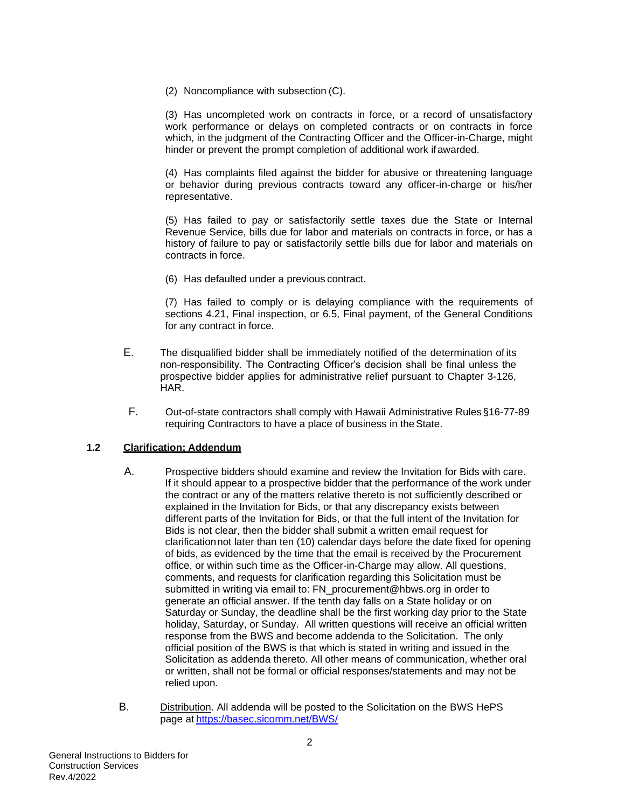(2) Noncompliance with subsection (C).

(3) Has uncompleted work on contracts in force, or a record of unsatisfactory work performance or delays on completed contracts or on contracts in force which, in the judgment of the Contracting Officer and the Officer-in-Charge, might hinder or prevent the prompt completion of additional work ifawarded.

(4) Has complaints filed against the bidder for abusive or threatening language or behavior during previous contracts toward any officer-in-charge or his/her representative.

(5) Has failed to pay or satisfactorily settle taxes due the State or Internal Revenue Service, bills due for labor and materials on contracts in force, or has a history of failure to pay or satisfactorily settle bills due for labor and materials on contracts in force.

(6) Has defaulted under a previous contract.

(7) Has failed to comply or is delaying compliance with the requirements of sections 4.21, Final inspection, or 6.5, Final payment, of the General Conditions for any contract in force.

- E. The disqualified bidder shall be immediately notified of the determination of its non-responsibility. The Contracting Officer's decision shall be final unless the prospective bidder applies for administrative relief pursuant to Chapter 3-126, HAR.
- F. Out-of-state contractors shall comply with Hawaii Administrative Rules §16-77-89 requiring Contractors to have a place of business in theState.

#### <span id="page-3-0"></span>**1.2 Clarification; Addendum**

- A. Prospective bidders should examine and review the Invitation for Bids with care. If it should appear to a prospective bidder that the performance of the work under the contract or any of the matters relative thereto is not sufficiently described or explained in the Invitation for Bids, or that any discrepancy exists between different parts of the Invitation for Bids, or that the full intent of the Invitation for Bids is not clear, then the bidder shall submit a written email request for clarificationnot later than ten (10) calendar days before the date fixed for opening of bids, as evidenced by the time that the email is received by the Procurement office, or within such time as the Officer-in-Charge may allow. All questions, comments, and requests for clarification regarding this Solicitation must be submitted in writing via email to: [FN\\_procurement@hbws.org](mailto:cisrfi@lvvwd.com) in order to generate an official answer. If the tenth day falls on a State holiday or on Saturday or Sunday, the deadline shall be the first working day prior to the State holiday, Saturday, or Sunday. All written questions will receive an official written response from the BWS and become addenda to the Solicitation. The only official position of the BWS is that which is stated in writing and issued in the Solicitation as addenda thereto. All other means of communication, whether oral or written, shall not be formal or official responses/statements and may not be relied upon.
- B. Distribution. All addenda will be posted to the Solicitation on the BWS HePS page at <https://basec.sicomm.net/BWS/>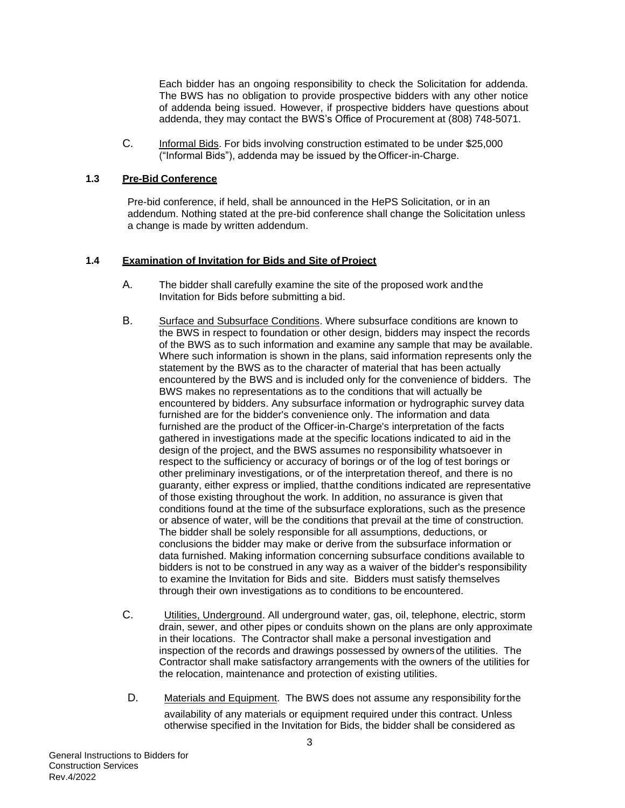Each bidder has an ongoing responsibility to check the Solicitation for addenda. The BWS has no obligation to provide prospective bidders with any other notice of addenda being issued. However, if prospective bidders have questions about addenda, they may contact the BWS's Office of Procurement at (808) 748-5071.

C. Informal Bids. For bids involving construction estimated to be under \$25,000 ("Informal Bids"), addenda may be issued by theOfficer-in-Charge.

#### <span id="page-4-0"></span>**1.3 Pre-Bid Conference**

Pre-bid conference, if held, shall be announced in the HePS Solicitation, or in an addendum. Nothing stated at the pre-bid conference shall change the Solicitation unless a change is made by written addendum.

#### <span id="page-4-1"></span>1.4 **Examination of Invitation for Bids and Site of Project**

- A. The bidder shall carefully examine the site of the proposed work andthe Invitation for Bids before submitting a bid.
- B. Surface and Subsurface Conditions. Where subsurface conditions are known to the BWS in respect to foundation or other design, bidders may inspect the records of the BWS as to such information and examine any sample that may be available. Where such information is shown in the plans, said information represents only the statement by the BWS as to the character of material that has been actually encountered by the BWS and is included only for the convenience of bidders. The BWS makes no representations as to the conditions that will actually be encountered by bidders. Any subsurface information or hydrographic survey data furnished are for the bidder's convenience only. The information and data furnished are the product of the Officer-in-Charge's interpretation of the facts gathered in investigations made at the specific locations indicated to aid in the design of the project, and the BWS assumes no responsibility whatsoever in respect to the sufficiency or accuracy of borings or of the log of test borings or other preliminary investigations, or of the interpretation thereof, and there is no guaranty, either express or implied, thatthe conditions indicated are representative of those existing throughout the work. In addition, no assurance is given that conditions found at the time of the subsurface explorations, such as the presence or absence of water, will be the conditions that prevail at the time of construction. The bidder shall be solely responsible for all assumptions, deductions, or conclusions the bidder may make or derive from the subsurface information or data furnished. Making information concerning subsurface conditions available to bidders is not to be construed in any way as a waiver of the bidder's responsibility to examine the Invitation for Bids and site. Bidders must satisfy themselves through their own investigations as to conditions to be encountered.
- C. Utilities, Underground. All underground water, gas, oil, telephone, electric, storm drain, sewer, and other pipes or conduits shown on the plans are only approximate in their locations. The Contractor shall make a personal investigation and inspection of the records and drawings possessed by ownersof the utilities. The Contractor shall make satisfactory arrangements with the owners of the utilities for the relocation, maintenance and protection of existing utilities.
	- D. Materials and Equipment. The BWS does not assume any responsibility forthe availability of any materials or equipment required under this contract. Unless otherwise specified in the Invitation for Bids, the bidder shall be considered as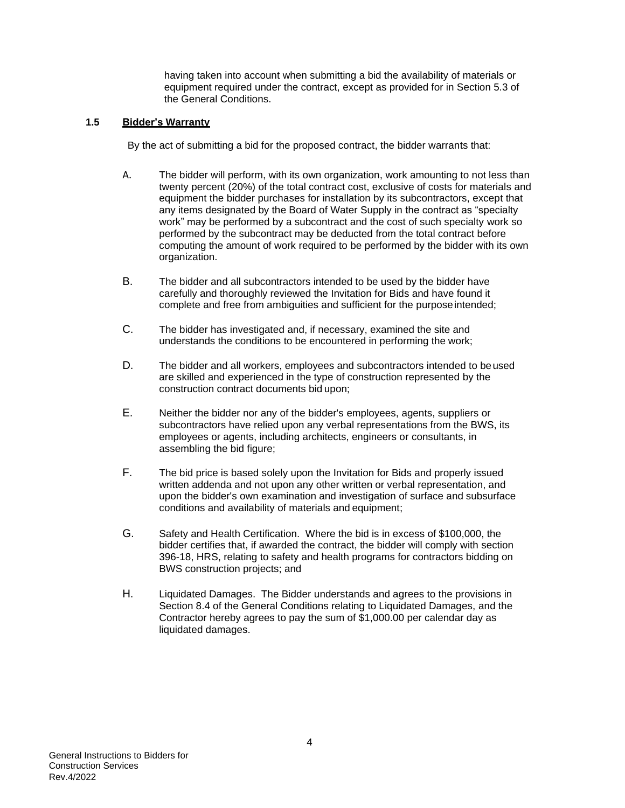having taken into account when submitting a bid the availability of materials or equipment required under the contract, except as provided for in Section 5.3 of the General Conditions.

#### <span id="page-5-0"></span>**1.5 Bidder's Warranty**

By the act of submitting a bid for the proposed contract, the bidder warrants that:

- A. The bidder will perform, with its own organization, work amounting to not less than twenty percent (20%) of the total contract cost, exclusive of costs for materials and equipment the bidder purchases for installation by its subcontractors, except that any items designated by the Board of Water Supply in the contract as "specialty work" may be performed by a subcontract and the cost of such specialty work so performed by the subcontract may be deducted from the total contract before computing the amount of work required to be performed by the bidder with its own organization.
- B. The bidder and all subcontractors intended to be used by the bidder have carefully and thoroughly reviewed the Invitation for Bids and have found it complete and free from ambiguities and sufficient for the purposeintended;
- C. The bidder has investigated and, if necessary, examined the site and understands the conditions to be encountered in performing the work;
- D. The bidder and all workers, employees and subcontractors intended to beused are skilled and experienced in the type of construction represented by the construction contract documents bid upon;
- E. Neither the bidder nor any of the bidder's employees, agents, suppliers or subcontractors have relied upon any verbal representations from the BWS, its employees or agents, including architects, engineers or consultants, in assembling the bid figure;
- F. The bid price is based solely upon the Invitation for Bids and properly issued written addenda and not upon any other written or verbal representation, and upon the bidder's own examination and investigation of surface and subsurface conditions and availability of materials and equipment;
- G. Safety and Health Certification. Where the bid is in excess of \$100,000, the bidder certifies that, if awarded the contract, the bidder will comply with section 396-18, HRS, relating to safety and health programs for contractors bidding on BWS construction projects; and
- H. Liquidated Damages. The Bidder understands and agrees to the provisions in Section 8.4 of the General Conditions relating to Liquidated Damages, and the Contractor hereby agrees to pay the sum of \$1,000.00 per calendar day as liquidated damages.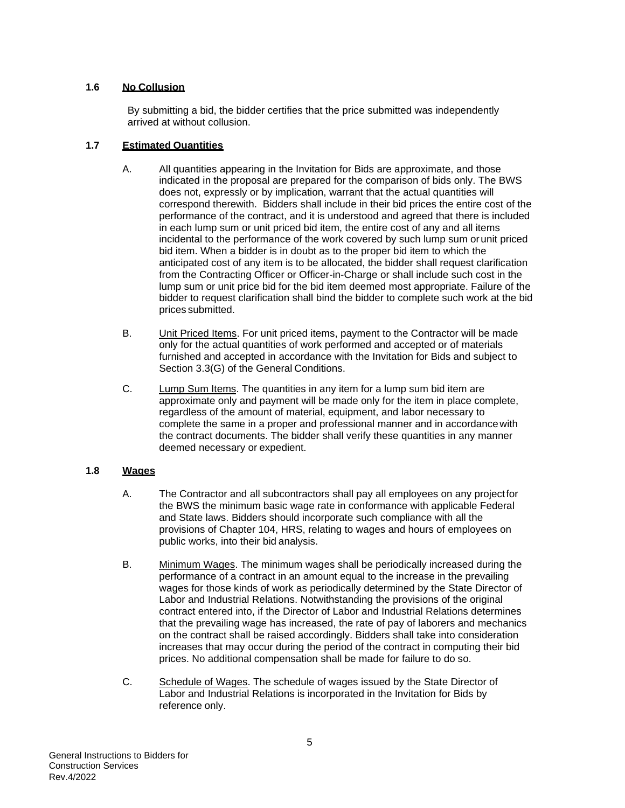## <span id="page-6-0"></span>**1.6 No Collusion**

By submitting a bid, the bidder certifies that the price submitted was independently arrived at without collusion.

#### <span id="page-6-1"></span>**1.7 Estimated Quantities**

- A. All quantities appearing in the Invitation for Bids are approximate, and those indicated in the proposal are prepared for the comparison of bids only. The BWS does not, expressly or by implication, warrant that the actual quantities will correspond therewith. Bidders shall include in their bid prices the entire cost of the performance of the contract, and it is understood and agreed that there is included in each lump sum or unit priced bid item, the entire cost of any and all items incidental to the performance of the work covered by such lump sum orunit priced bid item. When a bidder is in doubt as to the proper bid item to which the anticipated cost of any item is to be allocated, the bidder shall request clarification from the Contracting Officer or Officer-in-Charge or shall include such cost in the lump sum or unit price bid for the bid item deemed most appropriate. Failure of the bidder to request clarification shall bind the bidder to complete such work at the bid prices submitted.
- B. Unit Priced Items. For unit priced items, payment to the Contractor will be made only for the actual quantities of work performed and accepted or of materials furnished and accepted in accordance with the Invitation for Bids and subject to Section 3.3(G) of the General Conditions.
- C. Lump Sum Items. The quantities in any item for a lump sum bid item are approximate only and payment will be made only for the item in place complete, regardless of the amount of material, equipment, and labor necessary to complete the same in a proper and professional manner and in accordancewith the contract documents. The bidder shall verify these quantities in any manner deemed necessary or expedient.

#### <span id="page-6-2"></span>**1.8 Wages**

- A. The Contractor and all subcontractors shall pay all employees on any projectfor the BWS the minimum basic wage rate in conformance with applicable Federal and State laws. Bidders should incorporate such compliance with all the provisions of Chapter 104, HRS, relating to wages and hours of employees on public works, into their bid analysis.
- B. Minimum Wages. The minimum wages shall be periodically increased during the performance of a contract in an amount equal to the increase in the prevailing wages for those kinds of work as periodically determined by the State Director of Labor and Industrial Relations. Notwithstanding the provisions of the original contract entered into, if the Director of Labor and Industrial Relations determines that the prevailing wage has increased, the rate of pay of laborers and mechanics on the contract shall be raised accordingly. Bidders shall take into consideration increases that may occur during the period of the contract in computing their bid prices. No additional compensation shall be made for failure to do so.
- C. Schedule of Wages. The schedule of wages issued by the State Director of Labor and Industrial Relations is incorporated in the Invitation for Bids by reference only.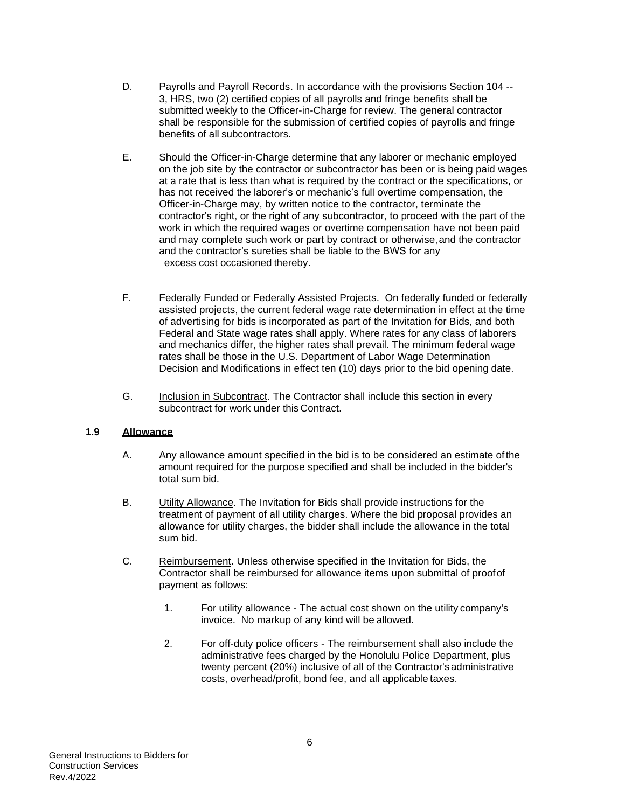- D. Payrolls and Payroll Records. In accordance with the provisions Section 104 -- 3, HRS, two (2) certified copies of all payrolls and fringe benefits shall be submitted weekly to the Officer-in-Charge for review. The general contractor shall be responsible for the submission of certified copies of payrolls and fringe benefits of all subcontractors.
- E. Should the Officer-in-Charge determine that any laborer or mechanic employed on the job site by the contractor or subcontractor has been or is being paid wages at a rate that is less than what is required by the contract or the specifications, or has not received the laborer's or mechanic's full overtime compensation, the Officer-in-Charge may, by written notice to the contractor, terminate the contractor's right, or the right of any subcontractor, to proceed with the part of the work in which the required wages or overtime compensation have not been paid and may complete such work or part by contract or otherwise,and the contractor and the contractor's sureties shall be liable to the BWS for any excess cost occasioned thereby.
- F. Federally Funded or Federally Assisted Projects. On federally funded or federally assisted projects, the current federal wage rate determination in effect at the time of advertising for bids is incorporated as part of the Invitation for Bids, and both Federal and State wage rates shall apply. Where rates for any class of laborers and mechanics differ, the higher rates shall prevail. The minimum federal wage rates shall be those in the U.S. Department of Labor Wage Determination Decision and Modifications in effect ten (10) days prior to the bid opening date.
- G. Inclusion in Subcontract. The Contractor shall include this section in every subcontract for work under this Contract.

#### <span id="page-7-0"></span>**1.9 Allowance**

- A. Any allowance amount specified in the bid is to be considered an estimate ofthe amount required for the purpose specified and shall be included in the bidder's total sum bid.
- B. Utility Allowance. The Invitation for Bids shall provide instructions for the treatment of payment of all utility charges. Where the bid proposal provides an allowance for utility charges, the bidder shall include the allowance in the total sum bid.
- C. Reimbursement. Unless otherwise specified in the Invitation for Bids, the Contractor shall be reimbursed for allowance items upon submittal of proofof payment as follows:
	- 1. For utility allowance The actual cost shown on the utility company's invoice. No markup of any kind will be allowed.
	- 2. For off-duty police officers The reimbursement shall also include the administrative fees charged by the Honolulu Police Department, plus twenty percent (20%) inclusive of all of the Contractor'sadministrative costs, overhead/profit, bond fee, and all applicable taxes.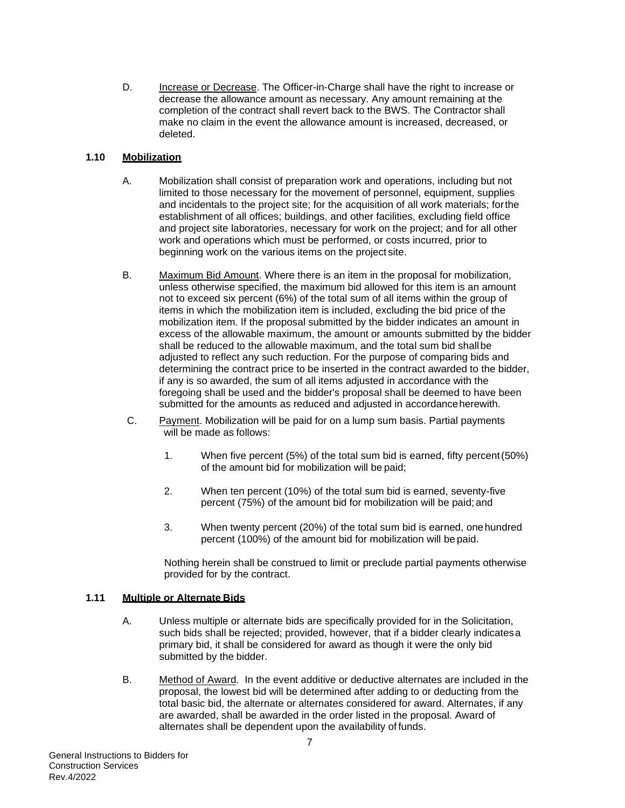D. Increase or Decrease. The Officer-in-Charge shall have the right to increase or decrease the allowance amount as necessary. Any amount remaining at the completion of the contract shall revert back to the BWS. The Contractor shall make no claim in the event the allowance amount is increased, decreased, or deleted.

## <span id="page-8-0"></span>**1.10 Mobilization**

- A. Mobilization shall consist of preparation work and operations, including but not limited to those necessary for the movement of personnel, equipment, supplies and incidentals to the project site; for the acquisition of all work materials; forthe establishment of all offices; buildings, and other facilities, excluding field office and project site laboratories, necessary for work on the project; and for all other work and operations which must be performed, or costs incurred, prior to beginning work on the various items on the project site.
- B. Maximum Bid Amount. Where there is an item in the proposal for mobilization, unless otherwise specified, the maximum bid allowed for this item is an amount not to exceed six percent (6%) of the total sum of all items within the group of items in which the mobilization item is included, excluding the bid price of the mobilization item. If the proposal submitted by the bidder indicates an amount in excess of the allowable maximum, the amount or amounts submitted by the bidder shall be reduced to the allowable maximum, and the total sum bid shallbe adjusted to reflect any such reduction. For the purpose of comparing bids and determining the contract price to be inserted in the contract awarded to the bidder, if any is so awarded, the sum of all items adjusted in accordance with the foregoing shall be used and the bidder's proposal shall be deemed to have been submitted for the amounts as reduced and adjusted in accordance herewith.
- C. Payment. Mobilization will be paid for on a lump sum basis. Partial payments will be made as follows:
	- 1. When five percent (5%) of the total sum bid is earned, fifty percent(50%) of the amount bid for mobilization will be paid;
	- 2. When ten percent (10%) of the total sum bid is earned, seventy-five percent (75%) of the amount bid for mobilization will be paid; and
	- 3. When twenty percent (20%) of the total sum bid is earned, onehundred percent (100%) of the amount bid for mobilization will be paid.

Nothing herein shall be construed to limit or preclude partial payments otherwise provided for by the contract.

#### <span id="page-8-1"></span>**1.11 Multiple or Alternate Bids**

- A. Unless multiple or alternate bids are specifically provided for in the Solicitation, such bids shall be rejected; provided, however, that if a bidder clearly indicatesa primary bid, it shall be considered for award as though it were the only bid submitted by the bidder.
- B. Method of Award. In the event additive or deductive alternates are included in the proposal, the lowest bid will be determined after adding to or deducting from the total basic bid, the alternate or alternates considered for award. Alternates, if any are awarded, shall be awarded in the order listed in the proposal. Award of alternates shall be dependent upon the availability of funds.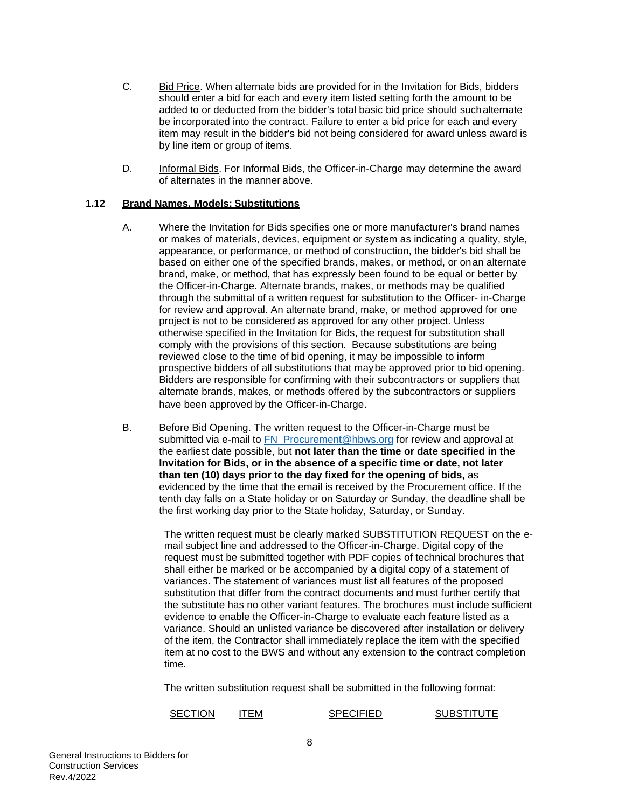- C. Bid Price. When alternate bids are provided for in the Invitation for Bids, bidders should enter a bid for each and every item listed setting forth the amount to be added to or deducted from the bidder's total basic bid price should suchalternate be incorporated into the contract. Failure to enter a bid price for each and every item may result in the bidder's bid not being considered for award unless award is by line item or group of items.
- D. Informal Bids. For Informal Bids, the Officer-in-Charge may determine the award of alternates in the manner above.

#### <span id="page-9-0"></span>**1.12 Brand Names, Models; Substitutions**

- A. Where the Invitation for Bids specifies one or more manufacturer's brand names or makes of materials, devices, equipment or system as indicating a quality, style, appearance, or performance, or method of construction, the bidder's bid shall be based on either one of the specified brands, makes, or method, or onan alternate brand, make, or method, that has expressly been found to be equal or better by the Officer-in-Charge. Alternate brands, makes, or methods may be qualified through the submittal of a written request for substitution to the Officer- in-Charge for review and approval. An alternate brand, make, or method approved for one project is not to be considered as approved for any other project. Unless otherwise specified in the Invitation for Bids, the request for substitution shall comply with the provisions of this section. Because substitutions are being reviewed close to the time of bid opening, it may be impossible to inform prospective bidders of all substitutions that maybe approved prior to bid opening. Bidders are responsible for confirming with their subcontractors or suppliers that alternate brands, makes, or methods offered by the subcontractors or suppliers have been approved by the Officer-in-Charge.
- B. Before Bid Opening. The written request to the Officer-in-Charge must be submitted via e-mail to [FN\\_Procurement@hbws.org](mailto:FN_Procurement@hbws.org) for review and approval at the earliest date possible, but **not later than the time or date specified in the Invitation for Bids, or in the absence of a specific time or date, not later than ten (10) days prior to the day fixed for the opening of bids,** as evidenced by the time that the email is received by the Procurement office. If the tenth day falls on a State holiday or on Saturday or Sunday, the deadline shall be the first working day prior to the State holiday, Saturday, or Sunday.

The written request must be clearly marked SUBSTITUTION REQUEST on the email subject line and addressed to the Officer-in-Charge. Digital copy of the request must be submitted together with PDF copies of technical brochures that shall either be marked or be accompanied by a digital copy of a statement of variances. The statement of variances must list all features of the proposed substitution that differ from the contract documents and must further certify that the substitute has no other variant features. The brochures must include sufficient evidence to enable the Officer-in-Charge to evaluate each feature listed as a variance. Should an unlisted variance be discovered after installation or delivery of the item, the Contractor shall immediately replace the item with the specified item at no cost to the BWS and without any extension to the contract completion time.

The written substitution request shall be submitted in the following format:

SECTION ITEM SPECIFIED SUBSTITUTE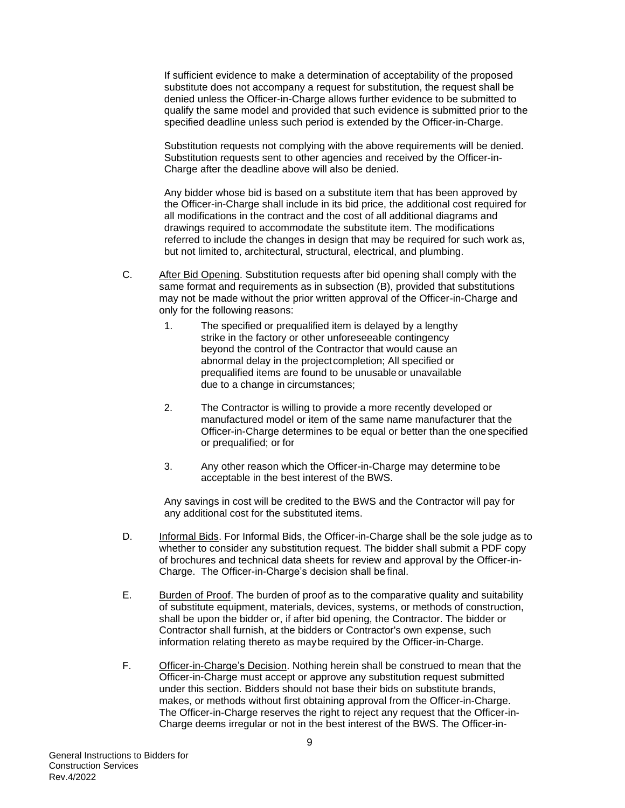If sufficient evidence to make a determination of acceptability of the proposed substitute does not accompany a request for substitution, the request shall be denied unless the Officer-in-Charge allows further evidence to be submitted to qualify the same model and provided that such evidence is submitted prior to the specified deadline unless such period is extended by the Officer-in-Charge.

Substitution requests not complying with the above requirements will be denied. Substitution requests sent to other agencies and received by the Officer-in-Charge after the deadline above will also be denied.

Any bidder whose bid is based on a substitute item that has been approved by the Officer-in-Charge shall include in its bid price, the additional cost required for all modifications in the contract and the cost of all additional diagrams and drawings required to accommodate the substitute item. The modifications referred to include the changes in design that may be required for such work as, but not limited to, architectural, structural, electrical, and plumbing.

- C. After Bid Opening. Substitution requests after bid opening shall comply with the same format and requirements as in subsection (B), provided that substitutions may not be made without the prior written approval of the Officer-in-Charge and only for the following reasons:
	- 1. The specified or prequalified item is delayed by a lengthy strike in the factory or other unforeseeable contingency beyond the control of the Contractor that would cause an abnormal delay in the projectcompletion; All specified or prequalified items are found to be unusable or unavailable due to a change in circumstances;
	- 2. The Contractor is willing to provide a more recently developed or manufactured model or item of the same name manufacturer that the Officer-in-Charge determines to be equal or better than the one specified or prequalified; or for
	- 3. Any other reason which the Officer-in-Charge may determine tobe acceptable in the best interest of the BWS.

Any savings in cost will be credited to the BWS and the Contractor will pay for any additional cost for the substituted items.

- D. Informal Bids. For Informal Bids, the Officer-in-Charge shall be the sole judge as to whether to consider any substitution request. The bidder shall submit a PDF copy of brochures and technical data sheets for review and approval by the Officer-in-Charge. The Officer-in-Charge's decision shall be final.
- E. Burden of Proof. The burden of proof as to the comparative quality and suitability of substitute equipment, materials, devices, systems, or methods of construction, shall be upon the bidder or, if after bid opening, the Contractor. The bidder or Contractor shall furnish, at the bidders or Contractor's own expense, such information relating thereto as maybe required by the Officer-in-Charge.
- F. Officer-in-Charge's Decision. Nothing herein shall be construed to mean that the Officer-in-Charge must accept or approve any substitution request submitted under this section. Bidders should not base their bids on substitute brands, makes, or methods without first obtaining approval from the Officer-in-Charge. The Officer-in-Charge reserves the right to reject any request that the Officer-in-Charge deems irregular or not in the best interest of the BWS. The Officer-in-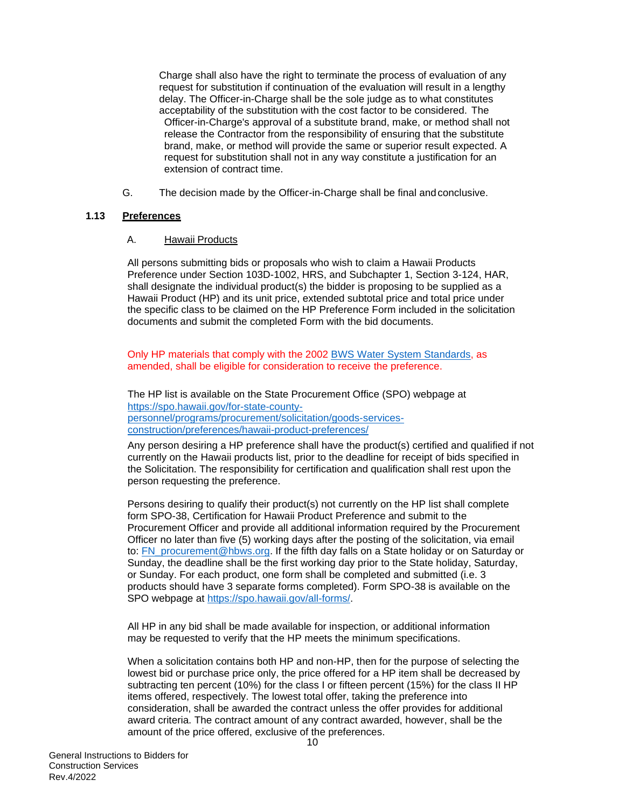Charge shall also have the right to terminate the process of evaluation of any request for substitution if continuation of the evaluation will result in a lengthy delay. The Officer-in-Charge shall be the sole judge as to what constitutes acceptability of the substitution with the cost factor to be considered. The Officer-in-Charge's approval of a substitute brand, make, or method shall not release the Contractor from the responsibility of ensuring that the substitute brand, make, or method will provide the same or superior result expected. A request for substitution shall not in any way constitute a justification for an extension of contract time.

G. The decision made by the Officer-in-Charge shall be final and conclusive.

## <span id="page-11-0"></span>**1.13 Preferences**

A. Hawaii Products

All persons submitting bids or proposals who wish to claim a Hawaii Products Preference under Section 103D-1002, HRS, and Subchapter 1, Section 3-124, HAR, shall designate the individual product(s) the bidder is proposing to be supplied as a Hawaii Product (HP) and its unit price, extended subtotal price and total price under the specific class to be claimed on the HP Preference Form included in the solicitation documents and submit the completed Form with the bid documents.

Only HP materials that comply with the 2002 [BWS Water System Standards,](https://www.boardofwatersupply.com/customer-service/permits-and-applications/water-system-standards) as amended, shall be eligible for consideration to receive the preference.

The HP list is available on the State Procurement Office (SPO) webpage at [https://spo.hawaii.gov/for-state-county](https://spo.hawaii.gov/for-state-county-personnel/programs/procurement/solicitation/goods-services-construction/preferences/hawaii-product-preferences/)[personnel/programs/procurement/solicitation/goods-services](https://spo.hawaii.gov/for-state-county-personnel/programs/procurement/solicitation/goods-services-construction/preferences/hawaii-product-preferences/)[construction/preferences/hawaii-product-preferences/](https://spo.hawaii.gov/for-state-county-personnel/programs/procurement/solicitation/goods-services-construction/preferences/hawaii-product-preferences/)

Any person desiring a HP preference shall have the product(s) certified and qualified if not currently on the Hawaii products list, prior to the deadline for receipt of bids specified in the Solicitation. The responsibility for certification and qualification shall rest upon the person requesting the preference.

Persons desiring to qualify their product(s) not currently on the HP list shall complete form SPO-38, Certification for Hawaii Product Preference and submit to the Procurement Officer and provide all additional information required by the Procurement Officer no later than five (5) working days after the posting of the solicitation, via email to: [FN\\_procurement@hbws.org.](mailto:cisrfi@lvvwd.com) If the fifth day falls on a State holiday or on Saturday or Sunday, the deadline shall be the first working day prior to the State holiday, Saturday, or Sunday. For each product, one form shall be completed and submitted (i.e. 3 products should have 3 separate forms completed). Form SPO-38 is available on the SPO webpage at [https://spo.hawaii.gov/all-forms/.](https://spo.hawaii.gov/all-forms/)

All HP in any bid shall be made available for inspection, or additional information may be requested to verify that the HP meets the minimum specifications.

When a solicitation contains both HP and non-HP, then for the purpose of selecting the lowest bid or purchase price only, the price offered for a HP item shall be decreased by subtracting ten percent (10%) for the class I or fifteen percent (15%) for the class II HP items offered, respectively. The lowest total offer, taking the preference into consideration, shall be awarded the contract unless the offer provides for additional award criteria. The contract amount of any contract awarded, however, shall be the amount of the price offered, exclusive of the preferences.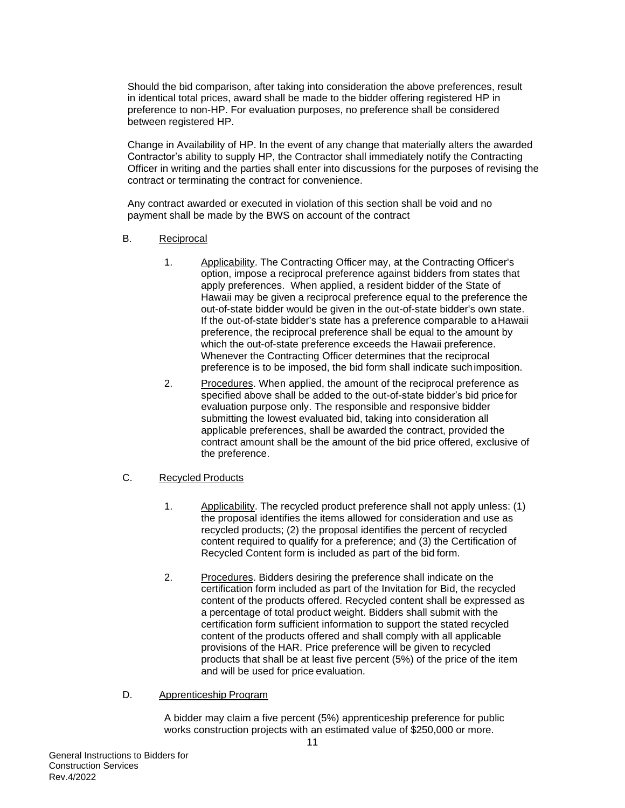Should the bid comparison, after taking into consideration the above preferences, result in identical total prices, award shall be made to the bidder offering registered HP in preference to non-HP. For evaluation purposes, no preference shall be considered between registered HP.

Change in Availability of HP. In the event of any change that materially alters the awarded Contractor's ability to supply HP, the Contractor shall immediately notify the Contracting Officer in writing and the parties shall enter into discussions for the purposes of revising the contract or terminating the contract for convenience.

Any contract awarded or executed in violation of this section shall be void and no payment shall be made by the BWS on account of the contract

- B. Reciprocal
	- 1. Applicability. The Contracting Officer may, at the Contracting Officer's option, impose a reciprocal preference against bidders from states that apply preferences. When applied, a resident bidder of the State of Hawaii may be given a reciprocal preference equal to the preference the out-of-state bidder would be given in the out-of-state bidder's own state. If the out-of-state bidder's state has a preference comparable to aHawaii preference, the reciprocal preference shall be equal to the amount by which the out-of-state preference exceeds the Hawaii preference. Whenever the Contracting Officer determines that the reciprocal preference is to be imposed, the bid form shall indicate suchimposition.
	- 2. Procedures. When applied, the amount of the reciprocal preference as specified above shall be added to the out-of-state bidder's bid price for evaluation purpose only. The responsible and responsive bidder submitting the lowest evaluated bid, taking into consideration all applicable preferences, shall be awarded the contract, provided the contract amount shall be the amount of the bid price offered, exclusive of the preference.
- C. Recycled Products
	- 1. Applicability. The recycled product preference shall not apply unless: (1) the proposal identifies the items allowed for consideration and use as recycled products; (2) the proposal identifies the percent of recycled content required to qualify for a preference; and (3) the Certification of Recycled Content form is included as part of the bid form.
	- 2. Procedures. Bidders desiring the preference shall indicate on the certification form included as part of the Invitation for Bid, the recycled content of the products offered. Recycled content shall be expressed as a percentage of total product weight. Bidders shall submit with the certification form sufficient information to support the stated recycled content of the products offered and shall comply with all applicable provisions of the HAR. Price preference will be given to recycled products that shall be at least five percent (5%) of the price of the item and will be used for price evaluation.
- D. Apprenticeship Program

A bidder may claim a five percent (5%) apprenticeship preference for public works construction projects with an estimated value of \$250,000 or more.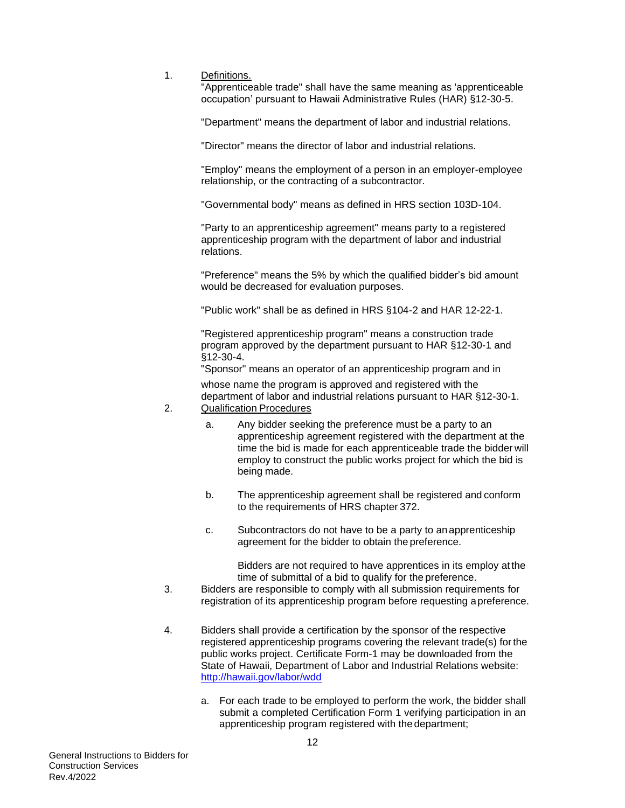1. Definitions.

"Apprenticeable trade" shall have the same meaning as 'apprenticeable occupation' pursuant to Hawaii Administrative Rules (HAR) §12-30-5.

"Department" means the department of labor and industrial relations.

"Director" means the director of labor and industrial relations.

"Employ" means the employment of a person in an employer-employee relationship, or the contracting of a subcontractor.

"Governmental body" means as defined in HRS section 103D-104.

"Party to an apprenticeship agreement" means party to a registered apprenticeship program with the department of labor and industrial relations.

"Preference" means the 5% by which the qualified bidder's bid amount would be decreased for evaluation purposes.

"Public work" shall be as defined in HRS §104-2 and HAR 12-22-1.

"Registered apprenticeship program" means a construction trade program approved by the department pursuant to HAR §12-30-1 and §12-30-4.

"Sponsor" means an operator of an apprenticeship program and in

whose name the program is approved and registered with the department of labor and industrial relations pursuant to HAR §12-30-1. 2. Qualification Procedures

- a. Any bidder seeking the preference must be a party to an apprenticeship agreement registered with the department at the time the bid is made for each apprenticeable trade the bidder will employ to construct the public works project for which the bid is being made.
- b. The apprenticeship agreement shall be registered and conform to the requirements of HRS chapter 372.
- c. Subcontractors do not have to be a party to anapprenticeship agreement for the bidder to obtain the preference.

Bidders are not required to have apprentices in its employ at the time of submittal of a bid to qualify for the preference.

- 3. Bidders are responsible to comply with all submission requirements for registration of its apprenticeship program before requesting apreference.
- 4. Bidders shall provide a certification by the sponsor of the respective registered apprenticeship programs covering the relevant trade(s) forthe public works project. Certificate Form-1 may be downloaded from the State of Hawaii, Department of Labor and Industrial Relations website: <http://hawaii.gov/labor/wdd>
	- a. For each trade to be employed to perform the work, the bidder shall submit a completed Certification Form 1 verifying participation in an apprenticeship program registered with thedepartment;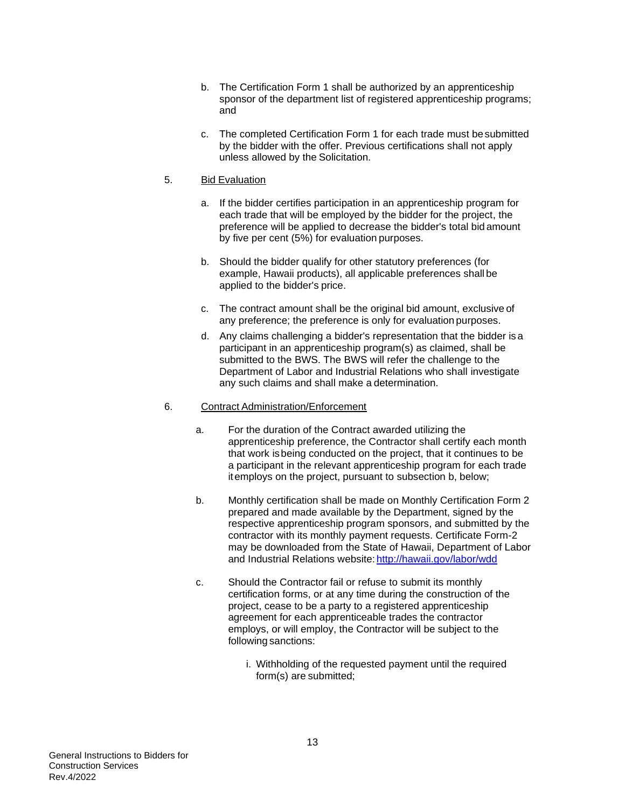- b. The Certification Form 1 shall be authorized by an apprenticeship sponsor of the department list of registered apprenticeship programs; and
- c. The completed Certification Form 1 for each trade must be submitted by the bidder with the offer. Previous certifications shall not apply unless allowed by the Solicitation.

#### 5. Bid Evaluation

- a. If the bidder certifies participation in an apprenticeship program for each trade that will be employed by the bidder for the project, the preference will be applied to decrease the bidder's total bid amount by five per cent (5%) for evaluation purposes.
- b. Should the bidder qualify for other statutory preferences (for example, Hawaii products), all applicable preferences shall be applied to the bidder's price.
- c. The contract amount shall be the original bid amount, exclusive of any preference; the preference is only for evaluation purposes.
- d. Any claims challenging a bidder's representation that the bidder is a participant in an apprenticeship program(s) as claimed, shall be submitted to the BWS. The BWS will refer the challenge to the Department of Labor and Industrial Relations who shall investigate any such claims and shall make a determination.

#### 6. Contract Administration/Enforcement

- a. For the duration of the Contract awarded utilizing the apprenticeship preference, the Contractor shall certify each month that work isbeing conducted on the project, that it continues to be a participant in the relevant apprenticeship program for each trade itemploys on the project, pursuant to subsection b, below;
- b. Monthly certification shall be made on Monthly Certification Form 2 prepared and made available by the Department, signed by the respective apprenticeship program sponsors, and submitted by the contractor with its monthly payment requests. Certificate Form-2 may be downloaded from the State of Hawaii, Department of Labor and Industrial Relations website: <http://hawaii.gov/labor/wdd>
- c. Should the Contractor fail or refuse to submit its monthly certification forms, or at any time during the construction of the project, cease to be a party to a registered apprenticeship agreement for each apprenticeable trades the contractor employs, or will employ, the Contractor will be subject to the following sanctions:
	- i. Withholding of the requested payment until the required form(s) are submitted;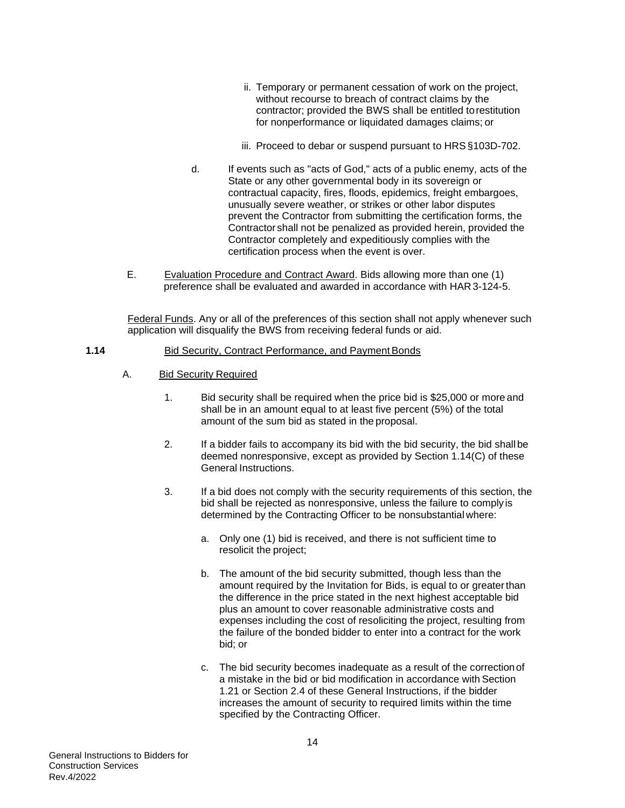- ii. Temporary or permanent cessation of work on the project, without recourse to breach of contract claims by the contractor; provided the BWS shall be entitled torestitution for nonperformance or liquidated damages claims; or
- iii. Proceed to debar or suspend pursuant to HRS§103D-702.
- d. If events such as "acts of God," acts of a public enemy, acts of the State or any other governmental body in its sovereign or contractual capacity, fires, floods, epidemics, freight embargoes, unusually severe weather, or strikes or other labor disputes prevent the Contractor from submitting the certification forms, the Contractor shall not be penalized as provided herein, provided the Contractor completely and expeditiously complies with the certification process when the event is over.
- E. Evaluation Procedure and Contract Award. Bids allowing more than one (1) preference shall be evaluated and awarded in accordance with HAR 3-124-5.

Federal Funds. Any or all of the preferences of this section shall not apply whenever such application will disqualify the BWS from receiving federal funds or aid.

#### <span id="page-15-0"></span>**1.14** Bid Security, Contract Performance, and Payment Bonds

- A. Bid Security Required
	- 1. Bid security shall be required when the price bid is \$25,000 or more and shall be in an amount equal to at least five percent (5%) of the total amount of the sum bid as stated in the proposal.
	- 2. If a bidder fails to accompany its bid with the bid security, the bid shallbe deemed nonresponsive, except as provided by Section 1.14(C) of these General Instructions.
	- 3. If a bid does not comply with the security requirements of this section, the bid shall be rejected as nonresponsive, unless the failure to comply is determined by the Contracting Officer to be nonsubstantial where:
		- a. Only one (1) bid is received, and there is not sufficient time to resolicit the project;
		- b. The amount of the bid security submitted, though less than the amount required by the Invitation for Bids, is equal to or greaterthan the difference in the price stated in the next highest acceptable bid plus an amount to cover reasonable administrative costs and expenses including the cost of resoliciting the project, resulting from the failure of the bonded bidder to enter into a contract for the work bid; or
		- c. The bid security becomes inadequate as a result of the correctionof a mistake in the bid or bid modification in accordance with Section 1.21 or Section 2.4 of these General Instructions, if the bidder increases the amount of security to required limits within the time specified by the Contracting Officer.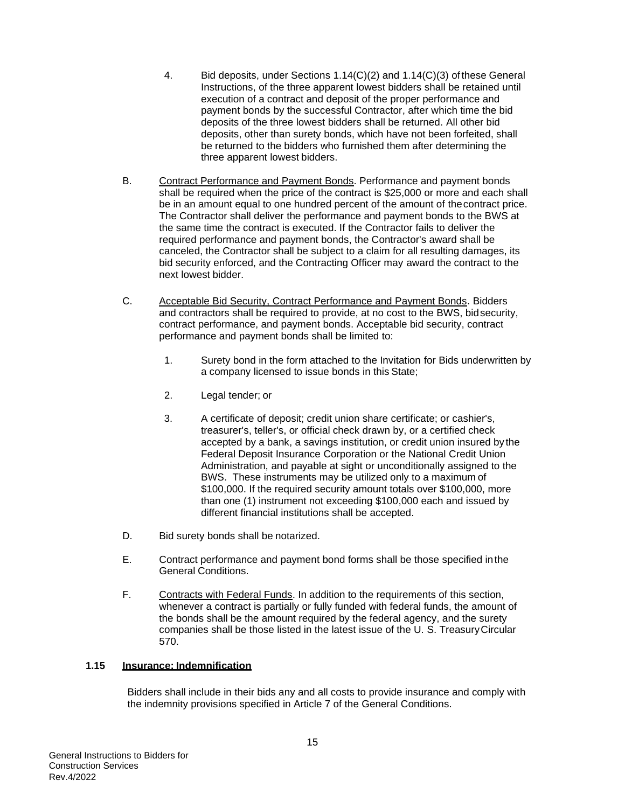- 4. Bid deposits, under Sections 1.14(C)(2) and 1.14(C)(3) ofthese General Instructions, of the three apparent lowest bidders shall be retained until execution of a contract and deposit of the proper performance and payment bonds by the successful Contractor, after which time the bid deposits of the three lowest bidders shall be returned. All other bid deposits, other than surety bonds, which have not been forfeited, shall be returned to the bidders who furnished them after determining the three apparent lowest bidders.
- B. Contract Performance and Payment Bonds. Performance and payment bonds shall be required when the price of the contract is \$25,000 or more and each shall be in an amount equal to one hundred percent of the amount of thecontract price. The Contractor shall deliver the performance and payment bonds to the BWS at the same time the contract is executed. If the Contractor fails to deliver the required performance and payment bonds, the Contractor's award shall be canceled, the Contractor shall be subject to a claim for all resulting damages, its bid security enforced, and the Contracting Officer may award the contract to the next lowest bidder.
- C. Acceptable Bid Security, Contract Performance and Payment Bonds. Bidders and contractors shall be required to provide, at no cost to the BWS, bidsecurity, contract performance, and payment bonds. Acceptable bid security, contract performance and payment bonds shall be limited to:
	- 1. Surety bond in the form attached to the Invitation for Bids underwritten by a company licensed to issue bonds in this State;
	- 2. Legal tender; or
	- 3. A certificate of deposit; credit union share certificate; or cashier's, treasurer's, teller's, or official check drawn by, or a certified check accepted by a bank, a savings institution, or credit union insured by the Federal Deposit Insurance Corporation or the National Credit Union Administration, and payable at sight or unconditionally assigned to the BWS. These instruments may be utilized only to a maximum of \$100,000. If the required security amount totals over \$100,000, more than one (1) instrument not exceeding \$100,000 each and issued by different financial institutions shall be accepted.
- D. Bid surety bonds shall be notarized.
- E. Contract performance and payment bond forms shall be those specified inthe General Conditions.
- F. Contracts with Federal Funds. In addition to the requirements of this section, whenever a contract is partially or fully funded with federal funds, the amount of the bonds shall be the amount required by the federal agency, and the surety companies shall be those listed in the latest issue of the U. S. TreasuryCircular 570.

#### <span id="page-16-0"></span>**1.15 Insurance; Indemnification**

Bidders shall include in their bids any and all costs to provide insurance and comply with the indemnity provisions specified in Article 7 of the General Conditions.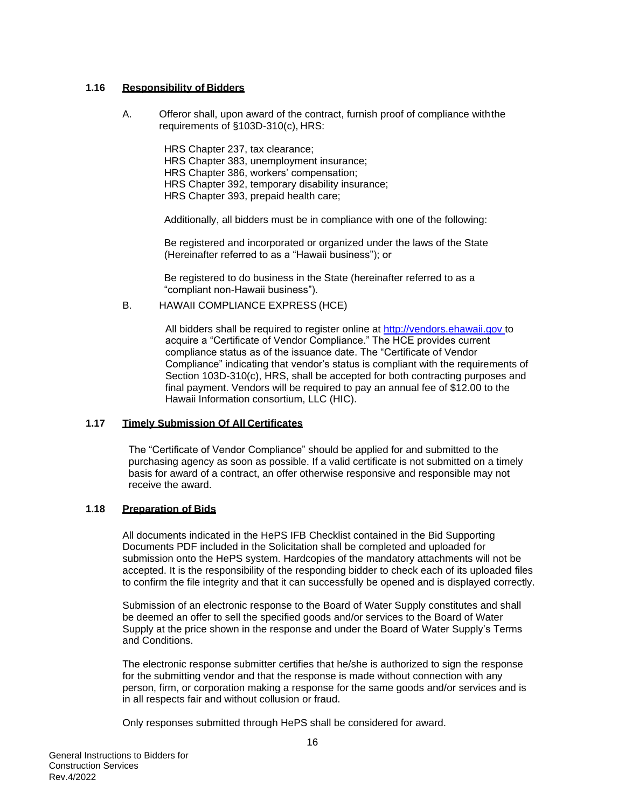## <span id="page-17-0"></span>**1.16 Responsibility of Bidders**

A. Offeror shall, upon award of the contract, furnish proof of compliance withthe requirements of §103D-310(c), HRS:

> HRS Chapter 237, tax clearance; HRS Chapter 383, unemployment insurance; HRS Chapter 386, workers' compensation; HRS Chapter 392, temporary disability insurance; HRS Chapter 393, prepaid health care;

Additionally, all bidders must be in compliance with one of the following:

Be registered and incorporated or organized under the laws of the State (Hereinafter referred to as a "Hawaii business"); or

Be registered to do business in the State (hereinafter referred to as a "compliant non-Hawaii business").

#### B. HAWAII COMPLIANCE EXPRESS (HCE)

All bidders shall be required to register online at [http://vendors.ehawaii.gov t](http://vendors.ehawaii.gov/)o acquire a "Certificate of Vendor Compliance." The HCE provides current compliance status as of the issuance date. The "Certificate of Vendor Compliance" indicating that vendor's status is compliant with the requirements of Section 103D-310(c), HRS, shall be accepted for both contracting purposes and final payment. Vendors will be required to pay an annual fee of \$12.00 to the Hawaii Information consortium, LLC (HIC).

#### <span id="page-17-1"></span>**1.17 Timely Submission Of All Certificates**

The "Certificate of Vendor Compliance" should be applied for and submitted to the purchasing agency as soon as possible. If a valid certificate is not submitted on a timely basis for award of a contract, an offer otherwise responsive and responsible may not receive the award.

#### <span id="page-17-2"></span>**1.18 Preparation of Bids**

All documents indicated in the HePS IFB Checklist contained in the Bid Supporting Documents PDF included in the Solicitation shall be completed and uploaded for submission onto the HePS system. Hardcopies of the mandatory attachments will not be accepted. It is the responsibility of the responding bidder to check each of its uploaded files to confirm the file integrity and that it can successfully be opened and is displayed correctly.

Submission of an electronic response to the Board of Water Supply constitutes and shall be deemed an offer to sell the specified goods and/or services to the Board of Water Supply at the price shown in the response and under the Board of Water Supply's Terms and Conditions.

The electronic response submitter certifies that he/she is authorized to sign the response for the submitting vendor and that the response is made without connection with any person, firm, or corporation making a response for the same goods and/or services and is in all respects fair and without collusion or fraud.

Only responses submitted through HePS shall be considered for award.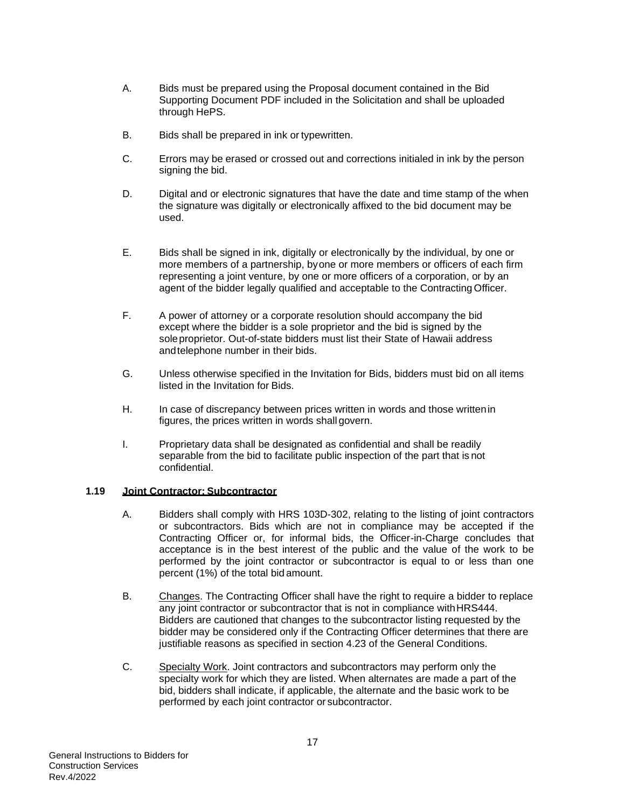- A. Bids must be prepared using the Proposal document contained in the Bid Supporting Document PDF included in the Solicitation and shall be uploaded through HePS.
- B. Bids shall be prepared in ink or typewritten.
- C. Errors may be erased or crossed out and corrections initialed in ink by the person signing the bid.
- D. Digital and or electronic signatures that have the date and time stamp of the when the signature was digitally or electronically affixed to the bid document may be used.
- E. Bids shall be signed in ink, digitally or electronically by the individual, by one or more members of a partnership, byone or more members or officers of each firm representing a joint venture, by one or more officers of a corporation, or by an agent of the bidder legally qualified and acceptable to the Contracting Officer.
- F. A power of attorney or a corporate resolution should accompany the bid except where the bidder is a sole proprietor and the bid is signed by the soleproprietor. Out-of-state bidders must list their State of Hawaii address andtelephone number in their bids.
- G. Unless otherwise specified in the Invitation for Bids, bidders must bid on all items listed in the Invitation for Bids.
- H. In case of discrepancy between prices written in words and those writtenin figures, the prices written in words shall govern.
- I. Proprietary data shall be designated as confidential and shall be readily separable from the bid to facilitate public inspection of the part that is not confidential.

#### <span id="page-18-0"></span>**1.19 Joint Contractor; Subcontractor**

- A. Bidders shall comply with HRS 103D-302, relating to the listing of joint contractors or subcontractors. Bids which are not in compliance may be accepted if the Contracting Officer or, for informal bids, the Officer-in-Charge concludes that acceptance is in the best interest of the public and the value of the work to be performed by the joint contractor or subcontractor is equal to or less than one percent (1%) of the total bid amount.
- B. Changes. The Contracting Officer shall have the right to require a bidder to replace any joint contractor or subcontractor that is not in compliance withHRS444. Bidders are cautioned that changes to the subcontractor listing requested by the bidder may be considered only if the Contracting Officer determines that there are justifiable reasons as specified in section 4.23 of the General Conditions.
- C. Specialty Work. Joint contractors and subcontractors may perform only the specialty work for which they are listed. When alternates are made a part of the bid, bidders shall indicate, if applicable, the alternate and the basic work to be performed by each joint contractor or subcontractor.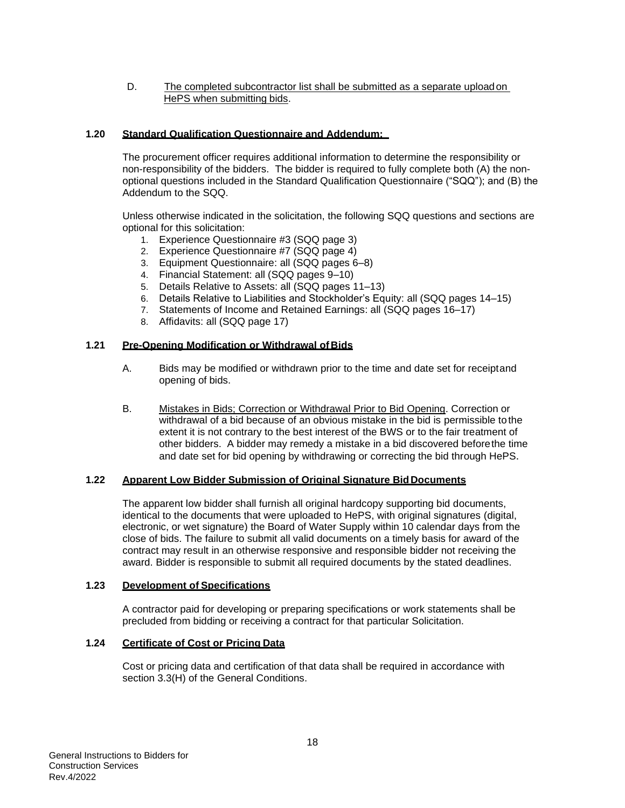#### D. The completed subcontractor list shall be submitted as a separate uploadon HePS when submitting bids.

## <span id="page-19-0"></span>**1.20 Standard Qualification Questionnaire and Addendum:**

The procurement officer requires additional information to determine the responsibility or non-responsibility of the bidders. The bidder is required to fully complete both (A) the nonoptional questions included in the Standard Qualification Questionnaire ("SQQ"); and (B) the Addendum to the SQQ.

Unless otherwise indicated in the solicitation, the following SQQ questions and sections are optional for this solicitation:

- 1. Experience Questionnaire #3 (SQQ page 3)
- 2. Experience Questionnaire #7 (SQQ page 4)
- 3. Equipment Questionnaire: all (SQQ pages 6–8)
- 4. Financial Statement: all (SQQ pages 9–10)
- 5. Details Relative to Assets: all (SQQ pages 11–13)
- 6. Details Relative to Liabilities and Stockholder's Equity: all (SQQ pages 14–15)
- 7. Statements of Income and Retained Earnings: all (SQQ pages 16–17)
- 8. Affidavits: all (SQQ page 17)

#### <span id="page-19-1"></span>**1.21 Pre-Opening Modification or Withdrawal of Bids**

- A. Bids may be modified or withdrawn prior to the time and date set for receiptand opening of bids.
- B. Mistakes in Bids; Correction or Withdrawal Prior to Bid Opening. Correction or withdrawal of a bid because of an obvious mistake in the bid is permissible to the extent it is not contrary to the best interest of the BWS or to the fair treatment of other bidders. A bidder may remedy a mistake in a bid discovered beforethe time and date set for bid opening by withdrawing or correcting the bid through HePS.

#### <span id="page-19-2"></span>**1.22 Apparent Low Bidder Submission of Original Signature BidDocuments**

The apparent low bidder shall furnish all original hardcopy supporting bid documents, identical to the documents that were uploaded to HePS, with original signatures (digital, electronic, or wet signature) the Board of Water Supply within 10 calendar days from the close of bids. The failure to submit all valid documents on a timely basis for award of the contract may result in an otherwise responsive and responsible bidder not receiving the award. Bidder is responsible to submit all required documents by the stated deadlines.

#### <span id="page-19-3"></span>**1.23 Development of Specifications**

A contractor paid for developing or preparing specifications or work statements shall be precluded from bidding or receiving a contract for that particular Solicitation.

## <span id="page-19-4"></span>**1.24 Certificate of Cost or Pricing Data**

Cost or pricing data and certification of that data shall be required in accordance with section 3.3(H) of the General Conditions.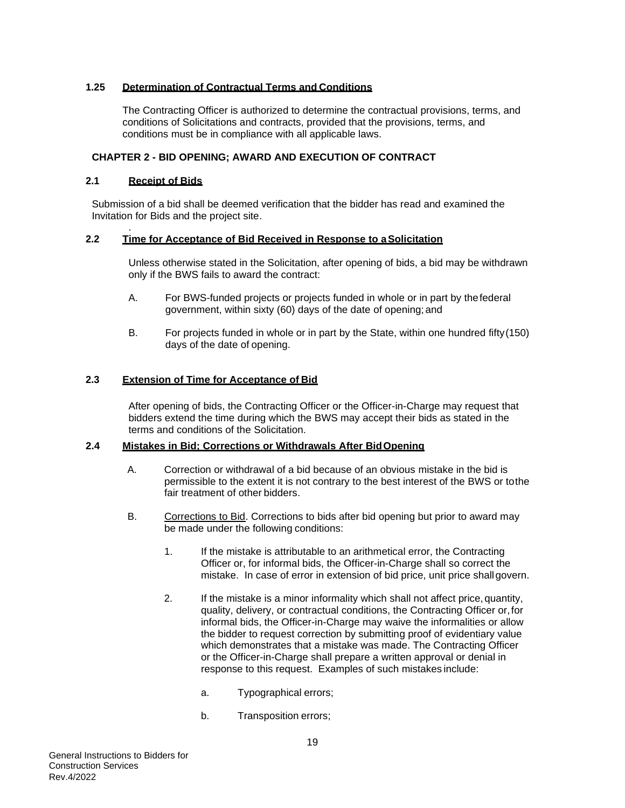## <span id="page-20-0"></span>**1.25 Determination of Contractual Terms and Conditions**

The Contracting Officer is authorized to determine the contractual provisions, terms, and conditions of Solicitations and contracts, provided that the provisions, terms, and conditions must be in compliance with all applicable laws.

## <span id="page-20-1"></span>**CHAPTER 2 - BID OPENING; AWARD AND EXECUTION OF CONTRACT**

## <span id="page-20-2"></span>**2.1 Receipt of Bids**

Submission of a bid shall be deemed verification that the bidder has read and examined the Invitation for Bids and the project site.

#### <span id="page-20-3"></span>. **2.2 Time for Acceptance of Bid Received in Response to aSolicitation**

Unless otherwise stated in the Solicitation, after opening of bids, a bid may be withdrawn only if the BWS fails to award the contract:

- A. For BWS-funded projects or projects funded in whole or in part by thefederal government, within sixty (60) days of the date of opening; and
- B. For projects funded in whole or in part by the State, within one hundred fifty(150) days of the date of opening.

#### <span id="page-20-4"></span>**2.3 Extension of Time for Acceptance of Bid**

After opening of bids, the Contracting Officer or the Officer-in-Charge may request that bidders extend the time during which the BWS may accept their bids as stated in the terms and conditions of the Solicitation.

#### <span id="page-20-5"></span>**2.4 Mistakes in Bid; Corrections or Withdrawals After BidOpening**

- A. Correction or withdrawal of a bid because of an obvious mistake in the bid is permissible to the extent it is not contrary to the best interest of the BWS or tothe fair treatment of other bidders.
- B. Corrections to Bid. Corrections to bids after bid opening but prior to award may be made under the following conditions:
	- 1. If the mistake is attributable to an arithmetical error, the Contracting Officer or, for informal bids, the Officer-in-Charge shall so correct the mistake. In case of error in extension of bid price, unit price shallgovern.
	- 2. If the mistake is a minor informality which shall not affect price,quantity, quality, delivery, or contractual conditions, the Contracting Officer or,for informal bids, the Officer-in-Charge may waive the informalities or allow the bidder to request correction by submitting proof of evidentiary value which demonstrates that a mistake was made. The Contracting Officer or the Officer-in-Charge shall prepare a written approval or denial in response to this request. Examples of such mistakes include:
		- a. Typographical errors;
		- b. Transposition errors;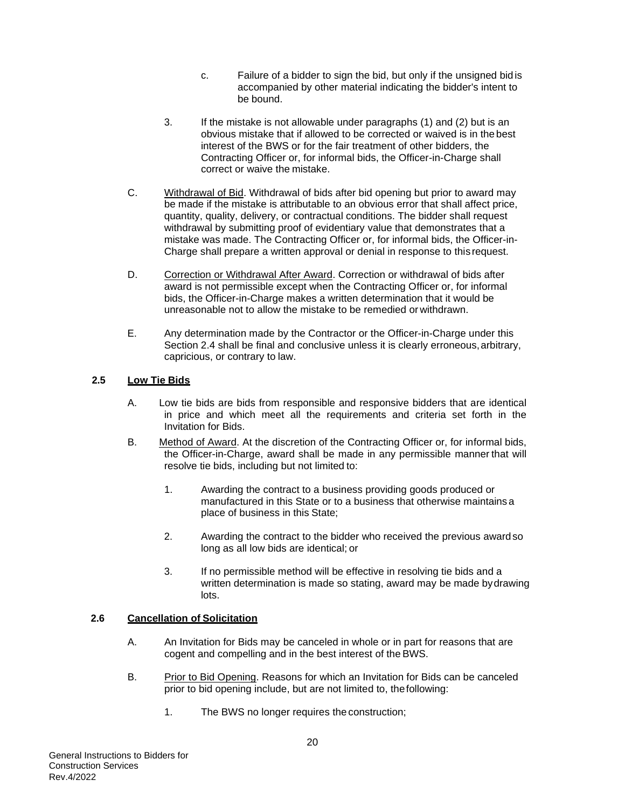- c. Failure of a bidder to sign the bid, but only if the unsigned bid is accompanied by other material indicating the bidder's intent to be bound.
- 3. If the mistake is not allowable under paragraphs (1) and (2) but is an obvious mistake that if allowed to be corrected or waived is in the best interest of the BWS or for the fair treatment of other bidders, the Contracting Officer or, for informal bids, the Officer-in-Charge shall correct or waive the mistake.
- C. Withdrawal of Bid. Withdrawal of bids after bid opening but prior to award may be made if the mistake is attributable to an obvious error that shall affect price, quantity, quality, delivery, or contractual conditions. The bidder shall request withdrawal by submitting proof of evidentiary value that demonstrates that a mistake was made. The Contracting Officer or, for informal bids, the Officer-in-Charge shall prepare a written approval or denial in response to this request.
- D. Correction or Withdrawal After Award. Correction or withdrawal of bids after award is not permissible except when the Contracting Officer or, for informal bids, the Officer-in-Charge makes a written determination that it would be unreasonable not to allow the mistake to be remedied or withdrawn.
- E. Any determination made by the Contractor or the Officer-in-Charge under this Section 2.4 shall be final and conclusive unless it is clearly erroneous,arbitrary, capricious, or contrary to law.

#### <span id="page-21-0"></span>**2.5 Low Tie Bids**

- A. Low tie bids are bids from responsible and responsive bidders that are identical in price and which meet all the requirements and criteria set forth in the Invitation for Bids.
- B. Method of Award. At the discretion of the Contracting Officer or, for informal bids, the Officer-in-Charge, award shall be made in any permissible manner that will resolve tie bids, including but not limited to:
	- 1. Awarding the contract to a business providing goods produced or manufactured in this State or to a business that otherwise maintains a place of business in this State;
	- 2. Awarding the contract to the bidder who received the previous awardso long as all low bids are identical; or
	- 3. If no permissible method will be effective in resolving tie bids and a written determination is made so stating, award may be made bydrawing lots.

## <span id="page-21-1"></span>**2.6 Cancellation of Solicitation**

- A. An Invitation for Bids may be canceled in whole or in part for reasons that are cogent and compelling and in the best interest of the BWS.
- B. Prior to Bid Opening. Reasons for which an Invitation for Bids can be canceled prior to bid opening include, but are not limited to, thefollowing:
	- 1. The BWS no longer requires the construction;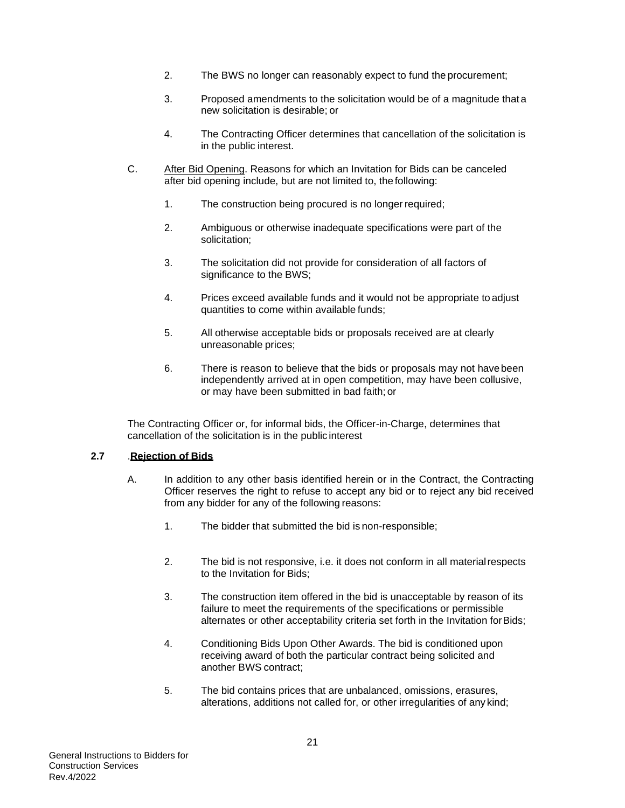- 2. The BWS no longer can reasonably expect to fund the procurement;
- 3. Proposed amendments to the solicitation would be of a magnitude that a new solicitation is desirable; or
- 4. The Contracting Officer determines that cancellation of the solicitation is in the public interest.
- C. After Bid Opening. Reasons for which an Invitation for Bids can be canceled after bid opening include, but are not limited to, the following:
	- 1. The construction being procured is no longer required;
	- 2. Ambiguous or otherwise inadequate specifications were part of the solicitation;
	- 3. The solicitation did not provide for consideration of all factors of significance to the BWS;
	- 4. Prices exceed available funds and it would not be appropriate to adjust quantities to come within available funds;
	- 5. All otherwise acceptable bids or proposals received are at clearly unreasonable prices;
	- 6. There is reason to believe that the bids or proposals may not havebeen independently arrived at in open competition, may have been collusive, or may have been submitted in bad faith; or

The Contracting Officer or, for informal bids, the Officer-in-Charge, determines that cancellation of the solicitation is in the public interest

#### <span id="page-22-0"></span>**2.7** .**Rejection of Bids**

- A. In addition to any other basis identified herein or in the Contract, the Contracting Officer reserves the right to refuse to accept any bid or to reject any bid received from any bidder for any of the following reasons:
	- 1. The bidder that submitted the bid is non-responsible;
	- 2. The bid is not responsive, i.e. it does not conform in all materialrespects to the Invitation for Bids;
	- 3. The construction item offered in the bid is unacceptable by reason of its failure to meet the requirements of the specifications or permissible alternates or other acceptability criteria set forth in the Invitation forBids;
	- 4. Conditioning Bids Upon Other Awards. The bid is conditioned upon receiving award of both the particular contract being solicited and another BWS contract;
	- 5. The bid contains prices that are unbalanced, omissions, erasures, alterations, additions not called for, or other irregularities of any kind;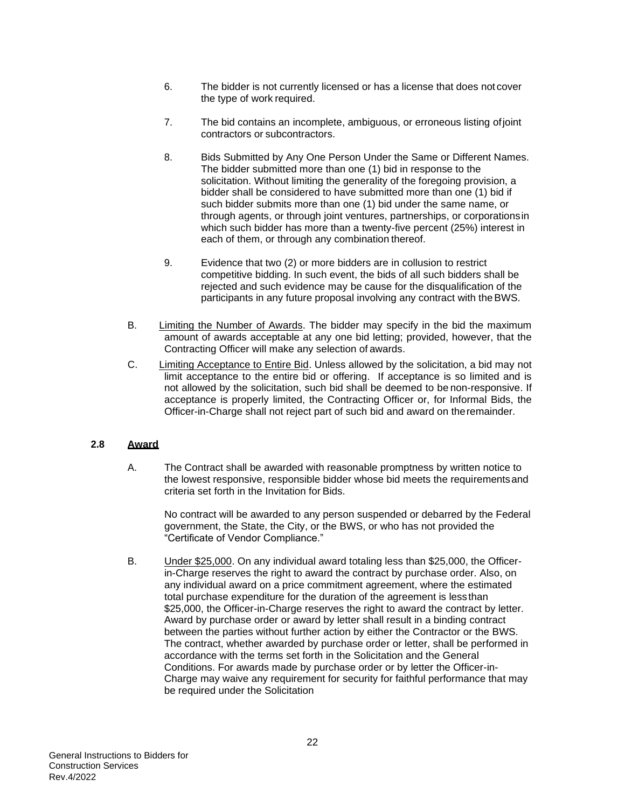- 6. The bidder is not currently licensed or has a license that does not cover the type of work required.
- 7. The bid contains an incomplete, ambiguous, or erroneous listing ofjoint contractors or subcontractors.
- 8. Bids Submitted by Any One Person Under the Same or Different Names. The bidder submitted more than one (1) bid in response to the solicitation. Without limiting the generality of the foregoing provision, a bidder shall be considered to have submitted more than one (1) bid if such bidder submits more than one (1) bid under the same name, or through agents, or through joint ventures, partnerships, or corporationsin which such bidder has more than a twenty-five percent (25%) interest in each of them, or through any combination thereof.
- 9. Evidence that two (2) or more bidders are in collusion to restrict competitive bidding. In such event, the bids of all such bidders shall be rejected and such evidence may be cause for the disqualification of the participants in any future proposal involving any contract with theBWS.
- B. Limiting the Number of Awards. The bidder may specify in the bid the maximum amount of awards acceptable at any one bid letting; provided, however, that the Contracting Officer will make any selection of awards.
- C. Limiting Acceptance to Entire Bid. Unless allowed by the solicitation, a bid may not limit acceptance to the entire bid or offering. If acceptance is so limited and is not allowed by the solicitation, such bid shall be deemed to be non-responsive. If acceptance is properly limited, the Contracting Officer or, for Informal Bids, the Officer-in-Charge shall not reject part of such bid and award on theremainder.

#### <span id="page-23-0"></span>**2.8 Award**

A. The Contract shall be awarded with reasonable promptness by written notice to the lowest responsive, responsible bidder whose bid meets the requirementsand criteria set forth in the Invitation for Bids.

No contract will be awarded to any person suspended or debarred by the Federal government, the State, the City, or the BWS, or who has not provided the "Certificate of Vendor Compliance."

B. Under \$25,000. On any individual award totaling less than \$25,000, the Officerin-Charge reserves the right to award the contract by purchase order. Also, on any individual award on a price commitment agreement, where the estimated total purchase expenditure for the duration of the agreement is lessthan \$25,000, the Officer-in-Charge reserves the right to award the contract by letter. Award by purchase order or award by letter shall result in a binding contract between the parties without further action by either the Contractor or the BWS. The contract, whether awarded by purchase order or letter, shall be performed in accordance with the terms set forth in the Solicitation and the General Conditions. For awards made by purchase order or by letter the Officer-in-Charge may waive any requirement for security for faithful performance that may be required under the Solicitation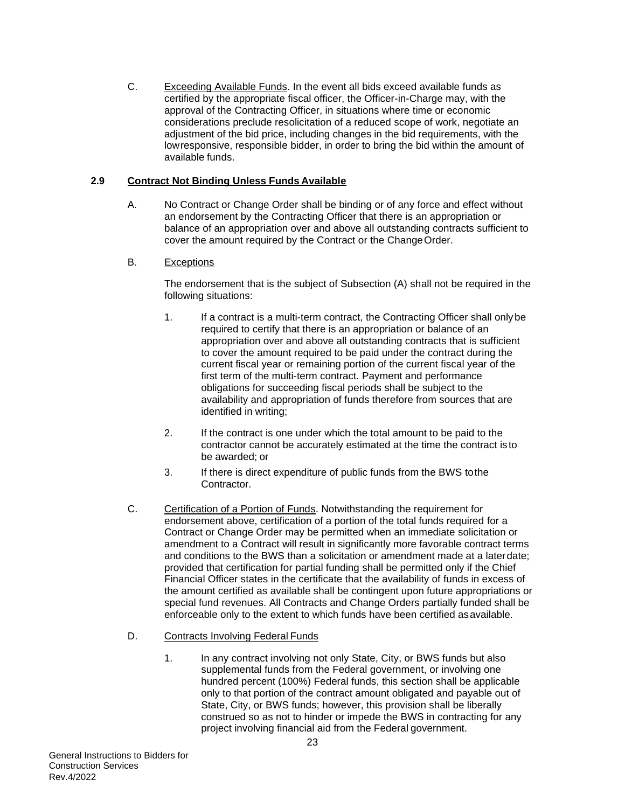C. Exceeding Available Funds. In the event all bids exceed available funds as certified by the appropriate fiscal officer, the Officer-in-Charge may, with the approval of the Contracting Officer, in situations where time or economic considerations preclude resolicitation of a reduced scope of work, negotiate an adjustment of the bid price, including changes in the bid requirements, with the lowresponsive, responsible bidder, in order to bring the bid within the amount of available funds.

## <span id="page-24-0"></span>**2.9 Contract Not Binding Unless Funds Available**

A. No Contract or Change Order shall be binding or of any force and effect without an endorsement by the Contracting Officer that there is an appropriation or balance of an appropriation over and above all outstanding contracts sufficient to cover the amount required by the Contract or the ChangeOrder.

## B. Exceptions

The endorsement that is the subject of Subsection (A) shall not be required in the following situations:

- 1. If a contract is a multi-term contract, the Contracting Officer shall onlybe required to certify that there is an appropriation or balance of an appropriation over and above all outstanding contracts that is sufficient to cover the amount required to be paid under the contract during the current fiscal year or remaining portion of the current fiscal year of the first term of the multi-term contract. Payment and performance obligations for succeeding fiscal periods shall be subject to the availability and appropriation of funds therefore from sources that are identified in writing;
- 2. If the contract is one under which the total amount to be paid to the contractor cannot be accurately estimated at the time the contract is to be awarded; or
- 3. If there is direct expenditure of public funds from the BWS tothe Contractor.
- C. Certification of a Portion of Funds. Notwithstanding the requirement for endorsement above, certification of a portion of the total funds required for a Contract or Change Order may be permitted when an immediate solicitation or amendment to a Contract will result in significantly more favorable contract terms and conditions to the BWS than a solicitation or amendment made at a laterdate; provided that certification for partial funding shall be permitted only if the Chief Financial Officer states in the certificate that the availability of funds in excess of the amount certified as available shall be contingent upon future appropriations or special fund revenues. All Contracts and Change Orders partially funded shall be enforceable only to the extent to which funds have been certified as available.

# D. Contracts Involving Federal Funds

1. In any contract involving not only State, City, or BWS funds but also supplemental funds from the Federal government, or involving one hundred percent (100%) Federal funds, this section shall be applicable only to that portion of the contract amount obligated and payable out of State, City, or BWS funds; however, this provision shall be liberally construed so as not to hinder or impede the BWS in contracting for any project involving financial aid from the Federal government.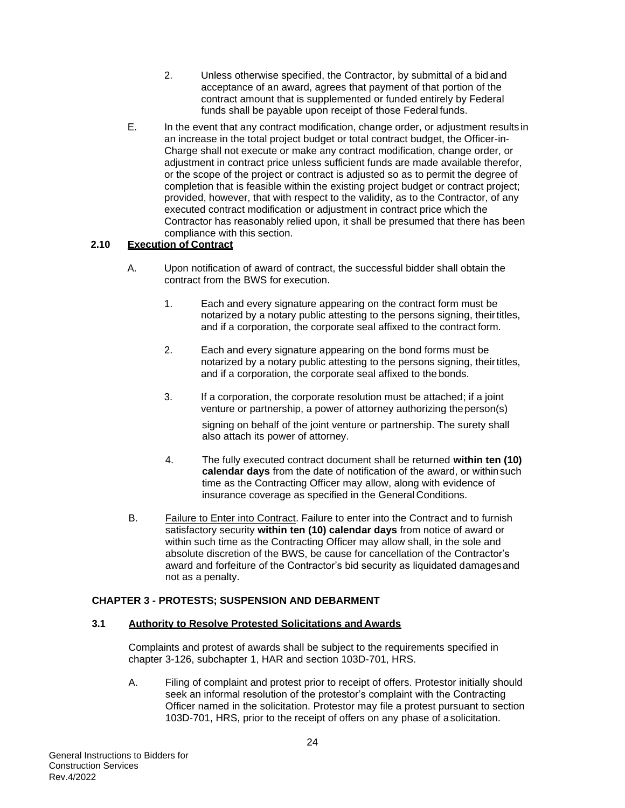- 2. Unless otherwise specified, the Contractor, by submittal of a bid and acceptance of an award, agrees that payment of that portion of the contract amount that is supplemented or funded entirely by Federal funds shall be payable upon receipt of those Federal funds.
- E. In the event that any contract modification, change order, or adjustment results in an increase in the total project budget or total contract budget, the Officer-in-Charge shall not execute or make any contract modification, change order, or adjustment in contract price unless sufficient funds are made available therefor, or the scope of the project or contract is adjusted so as to permit the degree of completion that is feasible within the existing project budget or contract project; provided, however, that with respect to the validity, as to the Contractor, of any executed contract modification or adjustment in contract price which the Contractor has reasonably relied upon, it shall be presumed that there has been compliance with this section.

## <span id="page-25-0"></span>**2.10 Execution of Contract**

- A. Upon notification of award of contract, the successful bidder shall obtain the contract from the BWS for execution.
	- 1. Each and every signature appearing on the contract form must be notarized by a notary public attesting to the persons signing, theirtitles, and if a corporation, the corporate seal affixed to the contract form.
	- 2. Each and every signature appearing on the bond forms must be notarized by a notary public attesting to the persons signing, theirtitles, and if a corporation, the corporate seal affixed to the bonds.
	- 3. If a corporation, the corporate resolution must be attached; if a joint venture or partnership, a power of attorney authorizing theperson(s)

signing on behalf of the joint venture or partnership. The surety shall also attach its power of attorney.

- 4. The fully executed contract document shall be returned **within ten (10) calendar days** from the date of notification of the award, or withinsuch time as the Contracting Officer may allow, along with evidence of insurance coverage as specified in the General Conditions.
- B. Failure to Enter into Contract. Failure to enter into the Contract and to furnish satisfactory security **within ten (10) calendar days** from notice of award or within such time as the Contracting Officer may allow shall, in the sole and absolute discretion of the BWS, be cause for cancellation of the Contractor's award and forfeiture of the Contractor's bid security as liquidated damagesand not as a penalty.

#### <span id="page-25-1"></span>**CHAPTER 3 - PROTESTS; SUSPENSION AND DEBARMENT**

#### <span id="page-25-2"></span>**3.1 Authority to Resolve Protested Solicitations and Awards**

Complaints and protest of awards shall be subject to the requirements specified in chapter 3-126, subchapter 1, HAR and section 103D-701, HRS.

A. Filing of complaint and protest prior to receipt of offers. Protestor initially should seek an informal resolution of the protestor's complaint with the Contracting Officer named in the solicitation. Protestor may file a protest pursuant to section 103D-701, HRS, prior to the receipt of offers on any phase of asolicitation.